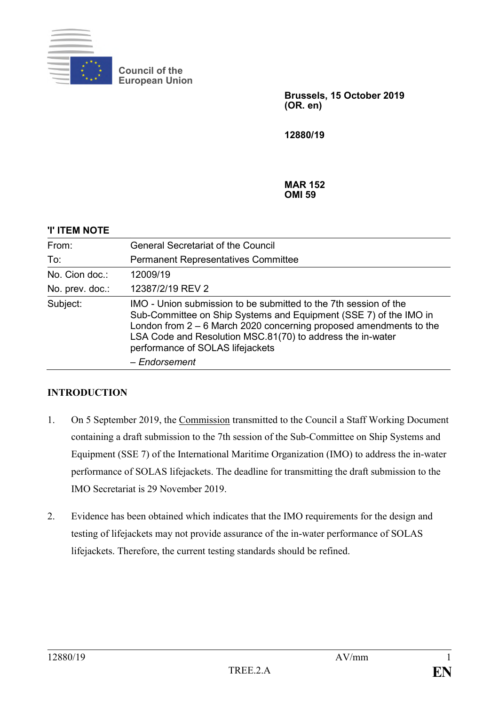

**Council of the European Union**

> **Brussels, 15 October 2019 (OR. en)**

**12880/19**

**MAR 152 OMI 59**

## **'I' ITEM NOTE**

| From:           | <b>General Secretariat of the Council</b>                                                                                                                                                                                                                                                                                        |  |
|-----------------|----------------------------------------------------------------------------------------------------------------------------------------------------------------------------------------------------------------------------------------------------------------------------------------------------------------------------------|--|
| To:             | <b>Permanent Representatives Committee</b>                                                                                                                                                                                                                                                                                       |  |
| No. Cion doc.:  | 12009/19                                                                                                                                                                                                                                                                                                                         |  |
| No. prev. doc.: | 12387/2/19 REV 2                                                                                                                                                                                                                                                                                                                 |  |
| Subject:        | IMO - Union submission to be submitted to the 7th session of the<br>Sub-Committee on Ship Systems and Equipment (SSE 7) of the IMO in<br>London from $2 - 6$ March 2020 concerning proposed amendments to the<br>LSA Code and Resolution MSC.81(70) to address the in-water<br>performance of SOLAS lifejackets<br>- Endorsement |  |

## **INTRODUCTION**

- 1. On 5 September 2019, the Commission transmitted to the Council a Staff Working Document containing a draft submission to the 7th session of the Sub-Committee on Ship Systems and Equipment (SSE 7) of the International Maritime Organization (IMO) to address the in-water performance of SOLAS lifejackets. The deadline for transmitting the draft submission to the IMO Secretariat is 29 November 2019.
- 2. Evidence has been obtained which indicates that the IMO requirements for the design and testing of lifejackets may not provide assurance of the in-water performance of SOLAS lifejackets. Therefore, the current testing standards should be refined.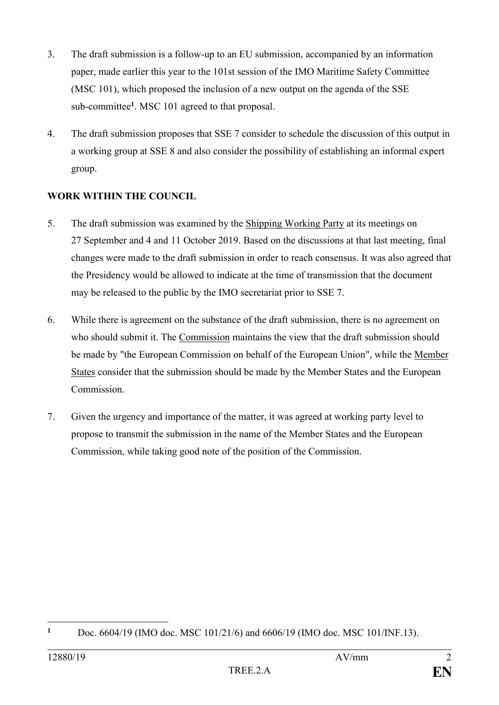- 3. The draft submission is a follow-up to an EU submission, accompanied by an information paper, made earlier this year to the 101st session of the IMO Maritime Safety Committee (MSC 101), which proposed the inclusion of a new output on the agenda of the SSE sub-committee**<sup>1</sup>** . MSC 101 agreed to that proposal.
- 4. The draft submission proposes that SSE 7 consider to schedule the discussion of this output in a working group at SSE 8 and also consider the possibility of establishing an informal expert group.

## **WORK WITHIN THE COUNCIL**

- 5. The draft submission was examined by the Shipping Working Party at its meetings on 27 September and 4 and 11 October 2019. Based on the discussions at that last meeting, final changes were made to the draft submission in order to reach consensus. It was also agreed that the Presidency would be allowed to indicate at the time of transmission that the document may be released to the public by the IMO secretariat prior to SSE 7.
- 6. While there is agreement on the substance of the draft submission, there is no agreement on who should submit it. The Commission maintains the view that the draft submission should be made by "the European Commission on behalf of the European Union", while the Member States consider that the submission should be made by the Member States and the European Commission.
- 7. Given the urgency and importance of the matter, it was agreed at working party level to propose to transmit the submission in the name of the Member States and the European Commission, while taking good note of the position of the Commission.

<sup>1</sup> **<sup>1</sup>** Doc. 6604/19 (IMO doc. MSC 101/21/6) and 6606/19 (IMO doc. MSC 101/INF.13).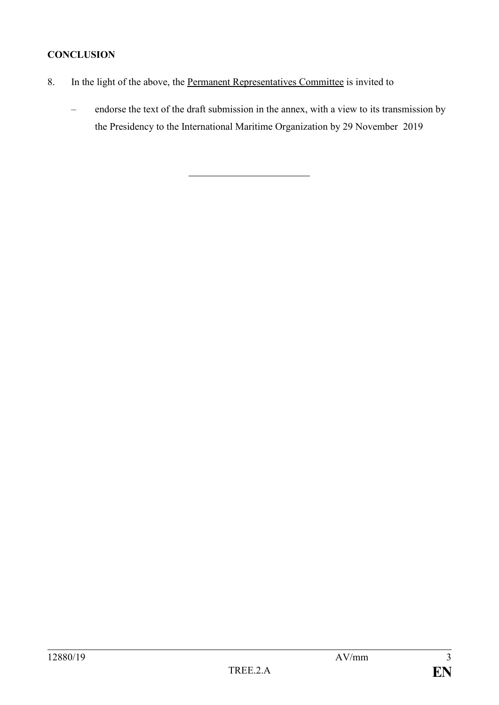# **CONCLUSION**

- 8. In the light of the above, the <u>Permanent Representatives Committee</u> is invited to
	- endorse the text of the draft submission in the annex, with a view to its transmission by the Presidency to the International Maritime Organization by 29 November 2019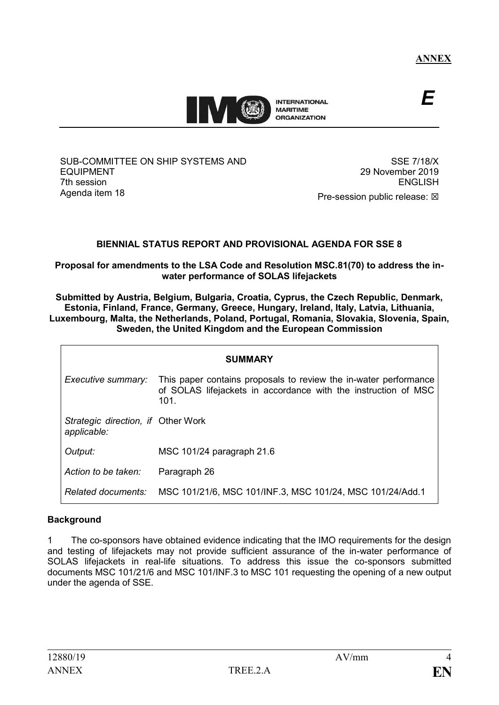

*E*

SUB-COMMITTEE ON SHIP SYSTEMS AND EQUIPMENT 7th session Agenda item 18

SSE 7/18/X 29 November 2019 ENGLISH Pre-session public release:  $\boxtimes$ 

## **BIENNIAL STATUS REPORT AND PROVISIONAL AGENDA FOR SSE 8**

**Proposal for amendments to the LSA Code and Resolution MSC.81(70) to address the inwater performance of SOLAS lifejackets**

**Submitted by Austria, Belgium, Bulgaria, Croatia, Cyprus, the Czech Republic, Denmark, Estonia, Finland, France, Germany, Greece, Hungary, Ireland, Italy, Latvia, Lithuania, Luxembourg, Malta, the Netherlands, Poland, Portugal, Romania, Slovakia, Slovenia, Spain, Sweden, the United Kingdom and the European Commission**

| <b>SUMMARY</b>                                    |                                                                                                                                            |  |
|---------------------------------------------------|--------------------------------------------------------------------------------------------------------------------------------------------|--|
| Executive summary:                                | This paper contains proposals to review the in-water performance<br>of SOLAS lifejackets in accordance with the instruction of MSC<br>101. |  |
| Strategic direction, if Other Work<br>applicable: |                                                                                                                                            |  |
| Output:                                           | MSC 101/24 paragraph 21.6                                                                                                                  |  |
| Action to be taken:                               | Paragraph 26                                                                                                                               |  |
| Related documents:                                | MSC 101/21/6, MSC 101/INF.3, MSC 101/24, MSC 101/24/Add.1                                                                                  |  |

## **Background**

1 The co-sponsors have obtained evidence indicating that the IMO requirements for the design and testing of lifejackets may not provide sufficient assurance of the in-water performance of SOLAS lifejackets in real-life situations. To address this issue the co-sponsors submitted documents MSC 101/21/6 and MSC 101/INF.3 to MSC 101 requesting the opening of a new output under the agenda of SSE.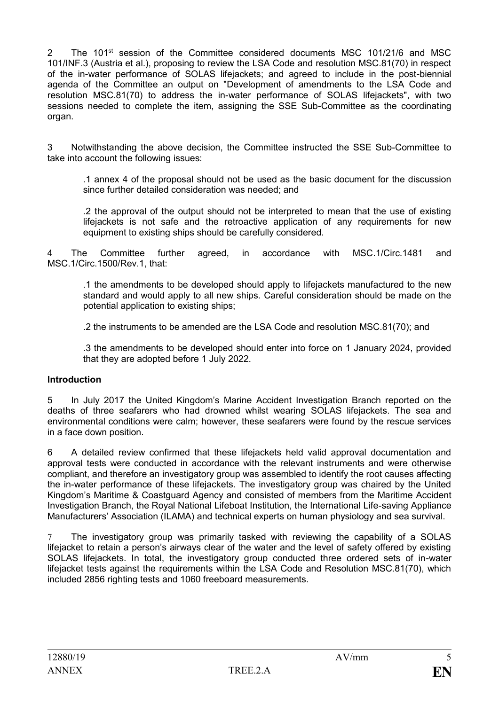2 The 101<sup>st</sup> session of the Committee considered documents MSC 101/21/6 and MSC 101/INF.3 (Austria et al.), proposing to review the LSA Code and resolution MSC.81(70) in respect of the in-water performance of SOLAS lifejackets; and agreed to include in the post-biennial agenda of the Committee an output on "Development of amendments to the LSA Code and resolution MSC.81(70) to address the in-water performance of SOLAS lifejackets", with two sessions needed to complete the item, assigning the SSE Sub-Committee as the coordinating organ.

3 Notwithstanding the above decision, the Committee instructed the SSE Sub-Committee to take into account the following issues:

.1 annex 4 of the proposal should not be used as the basic document for the discussion since further detailed consideration was needed; and

.2 the approval of the output should not be interpreted to mean that the use of existing lifejackets is not safe and the retroactive application of any requirements for new equipment to existing ships should be carefully considered.

4 The Committee further agreed, in accordance with MSC.1/Circ.1481 and MSC.1/Circ.1500/Rev.1, that:

.1 the amendments to be developed should apply to lifejackets manufactured to the new standard and would apply to all new ships. Careful consideration should be made on the potential application to existing ships;

.2 the instruments to be amended are the LSA Code and resolution MSC.81(70); and

.3 the amendments to be developed should enter into force on 1 January 2024, provided that they are adopted before 1 July 2022.

#### **Introduction**

5 In July 2017 the United Kingdom's Marine Accident Investigation Branch reported on the deaths of three seafarers who had drowned whilst wearing SOLAS lifejackets. The sea and environmental conditions were calm; however, these seafarers were found by the rescue services in a face down position.

6 A detailed review confirmed that these lifejackets held valid approval documentation and approval tests were conducted in accordance with the relevant instruments and were otherwise compliant, and therefore an investigatory group was assembled to identify the root causes affecting the in-water performance of these lifejackets. The investigatory group was chaired by the United Kingdom's Maritime & Coastguard Agency and consisted of members from the Maritime Accident Investigation Branch, the Royal National Lifeboat Institution, the International Life-saving Appliance Manufacturers' Association (ILAMA) and technical experts on human physiology and sea survival.

7 The investigatory group was primarily tasked with reviewing the capability of a SOLAS lifejacket to retain a person's airways clear of the water and the level of safety offered by existing SOLAS lifejackets. In total, the investigatory group conducted three ordered sets of in-water lifejacket tests against the requirements within the LSA Code and Resolution MSC.81(70), which included 2856 righting tests and 1060 freeboard measurements.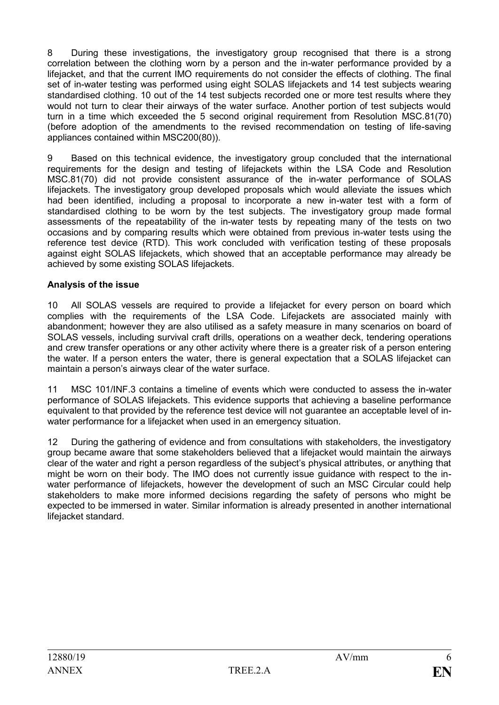8 During these investigations, the investigatory group recognised that there is a strong correlation between the clothing worn by a person and the in-water performance provided by a lifejacket, and that the current IMO requirements do not consider the effects of clothing. The final set of in-water testing was performed using eight SOLAS lifejackets and 14 test subjects wearing standardised clothing. 10 out of the 14 test subjects recorded one or more test results where they would not turn to clear their airways of the water surface. Another portion of test subjects would turn in a time which exceeded the 5 second original requirement from Resolution MSC.81(70) (before adoption of the amendments to the revised recommendation on testing of life-saving appliances contained within MSC200(80)).

9 Based on this technical evidence, the investigatory group concluded that the international requirements for the design and testing of lifejackets within the LSA Code and Resolution MSC.81(70) did not provide consistent assurance of the in-water performance of SOLAS lifejackets. The investigatory group developed proposals which would alleviate the issues which had been identified, including a proposal to incorporate a new in-water test with a form of standardised clothing to be worn by the test subjects. The investigatory group made formal assessments of the repeatability of the in-water tests by repeating many of the tests on two occasions and by comparing results which were obtained from previous in-water tests using the reference test device (RTD). This work concluded with verification testing of these proposals against eight SOLAS lifejackets, which showed that an acceptable performance may already be achieved by some existing SOLAS lifejackets.

### **Analysis of the issue**

10 All SOLAS vessels are required to provide a lifejacket for every person on board which complies with the requirements of the LSA Code. Lifejackets are associated mainly with abandonment; however they are also utilised as a safety measure in many scenarios on board of SOLAS vessels, including survival craft drills, operations on a weather deck, tendering operations and crew transfer operations or any other activity where there is a greater risk of a person entering the water. If a person enters the water, there is general expectation that a SOLAS lifejacket can maintain a person's airways clear of the water surface.

11 MSC 101/INF.3 contains a timeline of events which were conducted to assess the in-water performance of SOLAS lifejackets. This evidence supports that achieving a baseline performance equivalent to that provided by the reference test device will not guarantee an acceptable level of inwater performance for a lifejacket when used in an emergency situation.

12 During the gathering of evidence and from consultations with stakeholders, the investigatory group became aware that some stakeholders believed that a lifejacket would maintain the airways clear of the water and right a person regardless of the subject's physical attributes, or anything that might be worn on their body. The IMO does not currently issue guidance with respect to the inwater performance of lifejackets, however the development of such an MSC Circular could help stakeholders to make more informed decisions regarding the safety of persons who might be expected to be immersed in water. Similar information is already presented in another international lifejacket standard.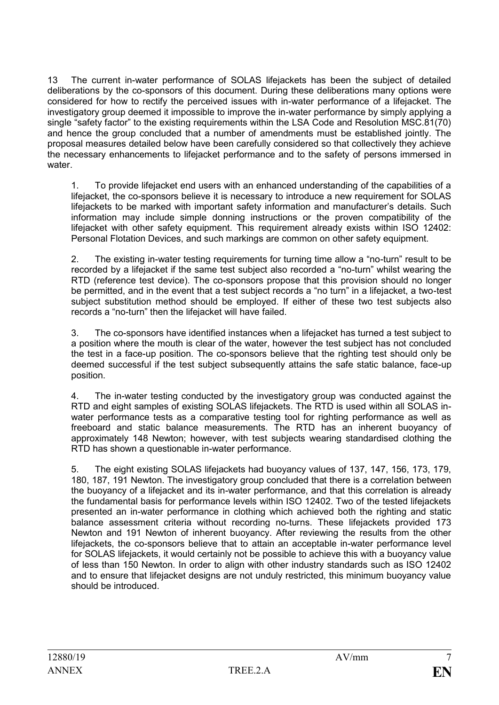13 The current in-water performance of SOLAS lifejackets has been the subject of detailed deliberations by the co-sponsors of this document. During these deliberations many options were considered for how to rectify the perceived issues with in-water performance of a lifejacket. The investigatory group deemed it impossible to improve the in-water performance by simply applying a single "safety factor" to the existing requirements within the LSA Code and Resolution MSC.81(70) and hence the group concluded that a number of amendments must be established jointly. The proposal measures detailed below have been carefully considered so that collectively they achieve the necessary enhancements to lifejacket performance and to the safety of persons immersed in water.

1. To provide lifejacket end users with an enhanced understanding of the capabilities of a lifejacket, the co-sponsors believe it is necessary to introduce a new requirement for SOLAS lifejackets to be marked with important safety information and manufacturer's details. Such information may include simple donning instructions or the proven compatibility of the lifejacket with other safety equipment. This requirement already exists within ISO 12402: Personal Flotation Devices, and such markings are common on other safety equipment.

2. The existing in-water testing requirements for turning time allow a "no-turn" result to be recorded by a lifejacket if the same test subject also recorded a "no-turn" whilst wearing the RTD (reference test device). The co-sponsors propose that this provision should no longer be permitted, and in the event that a test subject records a "no turn" in a lifejacket, a two-test subject substitution method should be employed. If either of these two test subjects also records a "no-turn" then the lifejacket will have failed.

3. The co-sponsors have identified instances when a lifejacket has turned a test subject to a position where the mouth is clear of the water, however the test subject has not concluded the test in a face-up position. The co-sponsors believe that the righting test should only be deemed successful if the test subject subsequently attains the safe static balance, face-up position.

4. The in-water testing conducted by the investigatory group was conducted against the RTD and eight samples of existing SOLAS lifejackets. The RTD is used within all SOLAS inwater performance tests as a comparative testing tool for righting performance as well as freeboard and static balance measurements. The RTD has an inherent buoyancy of approximately 148 Newton; however, with test subjects wearing standardised clothing the RTD has shown a questionable in-water performance.

5. The eight existing SOLAS lifejackets had buoyancy values of 137, 147, 156, 173, 179, 180, 187, 191 Newton. The investigatory group concluded that there is a correlation between the buoyancy of a lifejacket and its in-water performance, and that this correlation is already the fundamental basis for performance levels within ISO 12402. Two of the tested lifejackets presented an in-water performance in clothing which achieved both the righting and static balance assessment criteria without recording no-turns. These lifejackets provided 173 Newton and 191 Newton of inherent buoyancy. After reviewing the results from the other lifejackets, the co-sponsors believe that to attain an acceptable in-water performance level for SOLAS lifejackets, it would certainly not be possible to achieve this with a buoyancy value of less than 150 Newton. In order to align with other industry standards such as ISO 12402 and to ensure that lifejacket designs are not unduly restricted, this minimum buoyancy value should be introduced.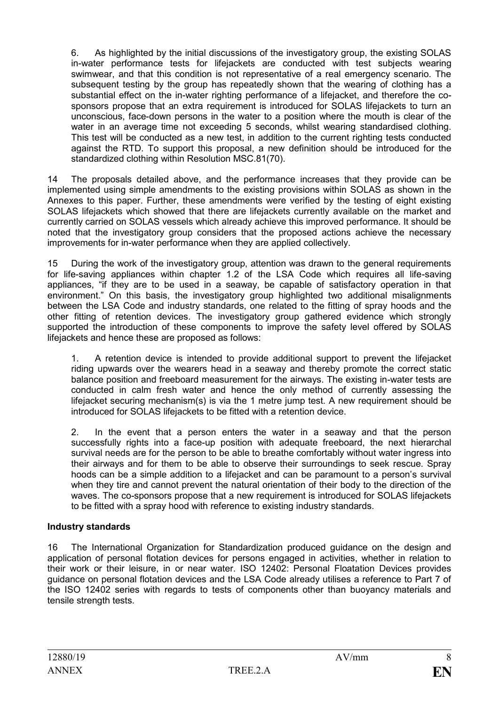6. As highlighted by the initial discussions of the investigatory group, the existing SOLAS in-water performance tests for lifejackets are conducted with test subjects wearing swimwear, and that this condition is not representative of a real emergency scenario. The subsequent testing by the group has repeatedly shown that the wearing of clothing has a substantial effect on the in-water righting performance of a lifejacket, and therefore the cosponsors propose that an extra requirement is introduced for SOLAS lifejackets to turn an unconscious, face-down persons in the water to a position where the mouth is clear of the water in an average time not exceeding 5 seconds, whilst wearing standardised clothing. This test will be conducted as a new test, in addition to the current righting tests conducted against the RTD. To support this proposal, a new definition should be introduced for the standardized clothing within Resolution MSC.81(70).

14 The proposals detailed above, and the performance increases that they provide can be implemented using simple amendments to the existing provisions within SOLAS as shown in the Annexes to this paper. Further, these amendments were verified by the testing of eight existing SOLAS lifejackets which showed that there are lifejackets currently available on the market and currently carried on SOLAS vessels which already achieve this improved performance. It should be noted that the investigatory group considers that the proposed actions achieve the necessary improvements for in-water performance when they are applied collectively.

15 During the work of the investigatory group, attention was drawn to the general requirements for life-saving appliances within chapter 1.2 of the LSA Code which requires all life-saving appliances, "if they are to be used in a seaway, be capable of satisfactory operation in that environment." On this basis, the investigatory group highlighted two additional misalignments between the LSA Code and industry standards, one related to the fitting of spray hoods and the other fitting of retention devices. The investigatory group gathered evidence which strongly supported the introduction of these components to improve the safety level offered by SOLAS lifejackets and hence these are proposed as follows:

1. A retention device is intended to provide additional support to prevent the lifejacket riding upwards over the wearers head in a seaway and thereby promote the correct static balance position and freeboard measurement for the airways. The existing in-water tests are conducted in calm fresh water and hence the only method of currently assessing the lifejacket securing mechanism(s) is via the 1 metre jump test. A new requirement should be introduced for SOLAS lifejackets to be fitted with a retention device.

2. In the event that a person enters the water in a seaway and that the person successfully rights into a face-up position with adequate freeboard, the next hierarchal survival needs are for the person to be able to breathe comfortably without water ingress into their airways and for them to be able to observe their surroundings to seek rescue. Spray hoods can be a simple addition to a lifejacket and can be paramount to a person's survival when they tire and cannot prevent the natural orientation of their body to the direction of the waves. The co-sponsors propose that a new requirement is introduced for SOLAS lifejackets to be fitted with a spray hood with reference to existing industry standards.

## **Industry standards**

16 The International Organization for Standardization produced guidance on the design and application of personal flotation devices for persons engaged in activities, whether in relation to their work or their leisure, in or near water. ISO 12402: Personal Floatation Devices provides guidance on personal flotation devices and the LSA Code already utilises a reference to Part 7 of the ISO 12402 series with regards to tests of components other than buoyancy materials and tensile strength tests.